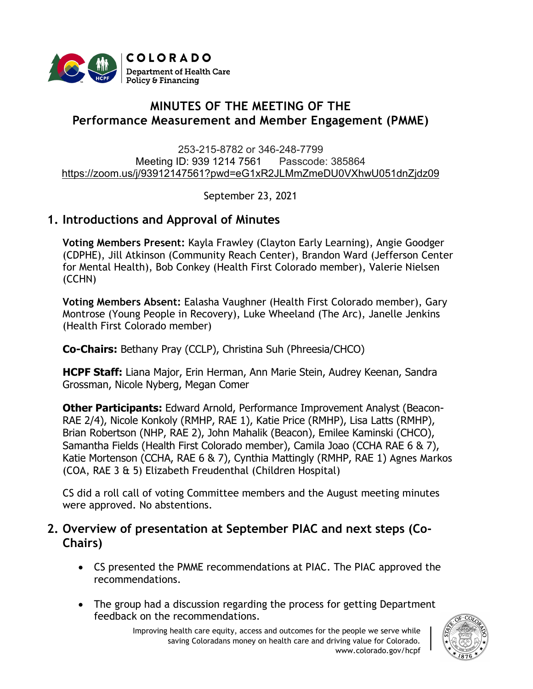

# **MINUTES OF THE MEETING OF THE Performance Measurement and Member Engagement (PMME)**

253-215-8782 or 346-248-7799 Meeting ID: 939 1214 7561 Passcode: 385864 [https://zoom.us/j/93912147561?pwd=eG1xR2JLMmZmeDU0VXhwU051dnZjdz09](https://urldefense.proofpoint.com/v2/url?u=https-3A__www.google.com_url-3Fq-3Dhttps-253A-252F-252Fzoom.us-252Fj-252F93912147561-253Fpwd-253DeG1xR2JLMmZmeDU0VXhwU051dnZjdz09-26sa-3DD-26ust-3D1616530236370000-26usg-3DAOvVaw2pBOHmp3kVX1RmT87UJo0h&d=DwMFaQ&c=sdnEM9SRGFuMt5z5w3AhsPNahmNicq64TgF1JwNR0cs&r=XWoW260UwlojDCSAAnCqRfzrOLFbHxFVx9ZWew2lkos&m=gKyuBSmgRDJ6jxp0dfm5SYf1S_bKcrF8OvgCKwLVieo&s=ts5VsXoiEWnrRji4C9UDtnQYAgBWW4W-PixaYiXvtzw&e=)

September 23, 2021

# **1. Introductions and Approval of Minutes**

**Voting Members Present:** Kayla Frawley (Clayton Early Learning), Angie Goodger (CDPHE), Jill Atkinson (Community Reach Center), Brandon Ward (Jefferson Center for Mental Health), Bob Conkey (Health First Colorado member), Valerie Nielsen (CCHN)

**Voting Members Absent:** Ealasha Vaughner (Health First Colorado member), Gary Montrose (Young People in Recovery), Luke Wheeland (The Arc), Janelle Jenkins (Health First Colorado member)

**Co-Chairs:** Bethany Pray (CCLP), Christina Suh (Phreesia/CHCO)

**HCPF Staff:** Liana Major, Erin Herman, Ann Marie Stein, Audrey Keenan, Sandra Grossman, Nicole Nyberg, Megan Comer

**Other Participants:** Edward Arnold, Performance Improvement Analyst (Beacon-RAE 2/4), Nicole Konkoly (RMHP, RAE 1), Katie Price (RMHP), Lisa Latts (RMHP), Brian Robertson (NHP, RAE 2), John Mahalik (Beacon), Emilee Kaminski (CHCO), Samantha Fields (Health First Colorado member), Camila Joao (CCHA RAE 6 & 7), Katie Mortenson (CCHA, RAE 6 & 7), Cynthia Mattingly (RMHP, RAE 1) Agnes Markos (COA, RAE 3 & 5) Elizabeth Freudenthal (Children Hospital)

CS did a roll call of voting Committee members and the August meeting minutes were approved. No abstentions.

### **2. Overview of presentation at September PIAC and next steps (Co-Chairs)**

- CS presented the PMME recommendations at PIAC. The PIAC approved the recommendations.
- The group had a discussion regarding the process for getting Department feedback on the recommendations.

Improving health care equity, access and outcomes for the people we serve while saving Coloradans money on health care and driving value for Colorado. www.colorado.gov/hcpf

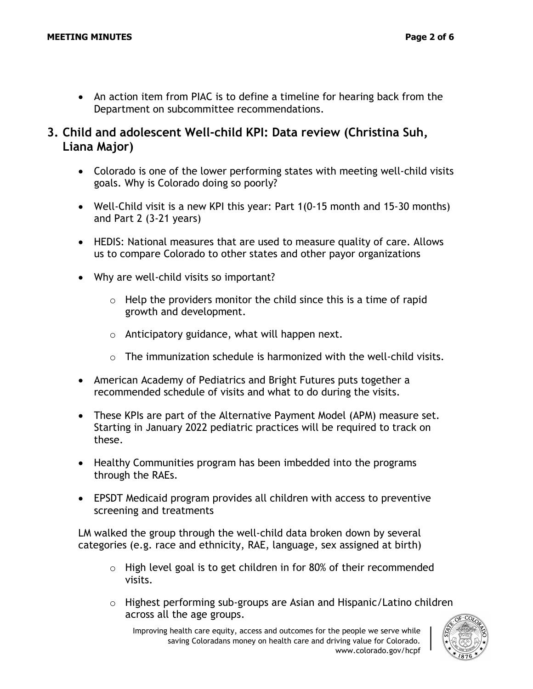• An action item from PIAC is to define a timeline for hearing back from the Department on subcommittee recommendations.

# **3. Child and adolescent Well-child KPI: Data review (Christina Suh, Liana Major)**

- Colorado is one of the lower performing states with meeting well-child visits goals. Why is Colorado doing so poorly?
- Well-Child visit is a new KPI this year: Part 1(0-15 month and 15-30 months) and Part 2 (3-21 years)
- HEDIS: National measures that are used to measure quality of care. Allows us to compare Colorado to other states and other payor organizations
- Why are well-child visits so important?
	- $\circ$  Help the providers monitor the child since this is a time of rapid growth and development.
	- $\circ$  Anticipatory guidance, what will happen next.
	- $\circ$  The immunization schedule is harmonized with the well-child visits.
- American Academy of Pediatrics and Bright Futures puts together a recommended schedule of visits and what to do during the visits.
- These KPIs are part of the Alternative Payment Model (APM) measure set. Starting in January 2022 pediatric practices will be required to track on these.
- Healthy Communities program has been imbedded into the programs through the RAEs.
- EPSDT Medicaid program provides all children with access to preventive screening and treatments

LM walked the group through the well-child data broken down by several categories (e.g. race and ethnicity, RAE, language, sex assigned at birth)

- $\circ$  High level goal is to get children in for 80% of their recommended visits.
- o Highest performing sub-groups are Asian and Hispanic/Latino children across all the age groups.

Improving health care equity, access and outcomes for the people we serve while saving Coloradans money on health care and driving value for Colorado. www.colorado.gov/hcpf

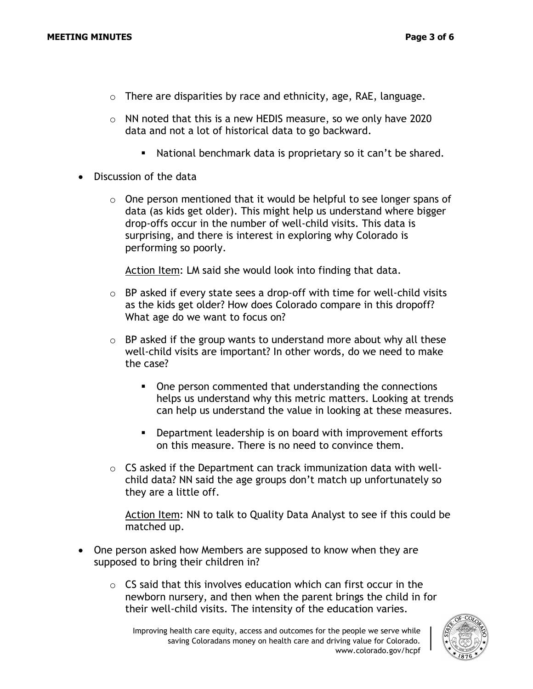- o There are disparities by race and ethnicity, age, RAE, language.
- o NN noted that this is a new HEDIS measure, so we only have 2020 data and not a lot of historical data to go backward.
	- National benchmark data is proprietary so it can't be shared.
- Discussion of the data
	- $\circ$  One person mentioned that it would be helpful to see longer spans of data (as kids get older). This might help us understand where bigger drop-offs occur in the number of well-child visits. This data is surprising, and there is interest in exploring why Colorado is performing so poorly.

Action Item: LM said she would look into finding that data.

- o BP asked if every state sees a drop-off with time for well-child visits as the kids get older? How does Colorado compare in this dropoff? What age do we want to focus on?
- $\circ$  BP asked if the group wants to understand more about why all these well-child visits are important? In other words, do we need to make the case?
	- One person commented that understanding the connections helps us understand why this metric matters. Looking at trends can help us understand the value in looking at these measures.
	- Department leadership is on board with improvement efforts on this measure. There is no need to convince them.
- $\circ$  CS asked if the Department can track immunization data with wellchild data? NN said the age groups don't match up unfortunately so they are a little off.

Action Item: NN to talk to Quality Data Analyst to see if this could be matched up.

- One person asked how Members are supposed to know when they are supposed to bring their children in?
	- $\circ$  CS said that this involves education which can first occur in the newborn nursery, and then when the parent brings the child in for their well-child visits. The intensity of the education varies.

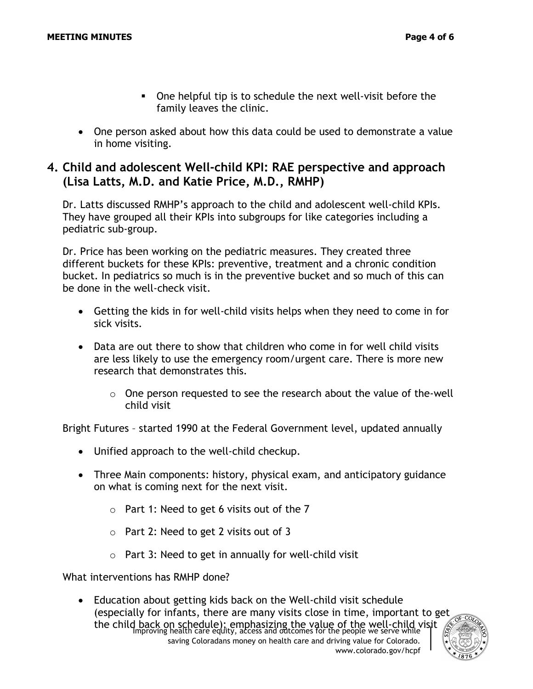- One helpful tip is to schedule the next well-visit before the family leaves the clinic.
- One person asked about how this data could be used to demonstrate a value in home visiting.

#### **4. Child and adolescent Well-child KPI: RAE perspective and approach (Lisa Latts, M.D. and Katie Price, M.D., RMHP)**

Dr. Latts discussed RMHP's approach to the child and adolescent well-child KPIs. They have grouped all their KPIs into subgroups for like categories including a pediatric sub-group.

Dr. Price has been working on the pediatric measures. They created three different buckets for these KPIs: preventive, treatment and a chronic condition bucket. In pediatrics so much is in the preventive bucket and so much of this can be done in the well-check visit.

- Getting the kids in for well-child visits helps when they need to come in for sick visits.
- Data are out there to show that children who come in for well child visits are less likely to use the emergency room/urgent care. There is more new research that demonstrates this.
	- o One person requested to see the research about the value of the-well child visit

Bright Futures – started 1990 at the Federal Government level, updated annually

- Unified approach to the well-child checkup.
- Three Main components: history, physical exam, and anticipatory guidance on what is coming next for the next visit.
	- $\circ$  Part 1: Need to get 6 visits out of the 7
	- o Part 2: Need to get 2 visits out of 3
	- o Part 3: Need to get in annually for well-child visit

What interventions has RMHP done?

the child back on schedule); emphasizing the value of the well-child visit<br>Inproving health care equity, access and outcomes for the people we serve while saving Coloradans money on health care and driving value for Colorado. www.colorado.gov/hcpf • Education about getting kids back on the Well-child visit schedule (especially for infants, there are many visits close in time, important to get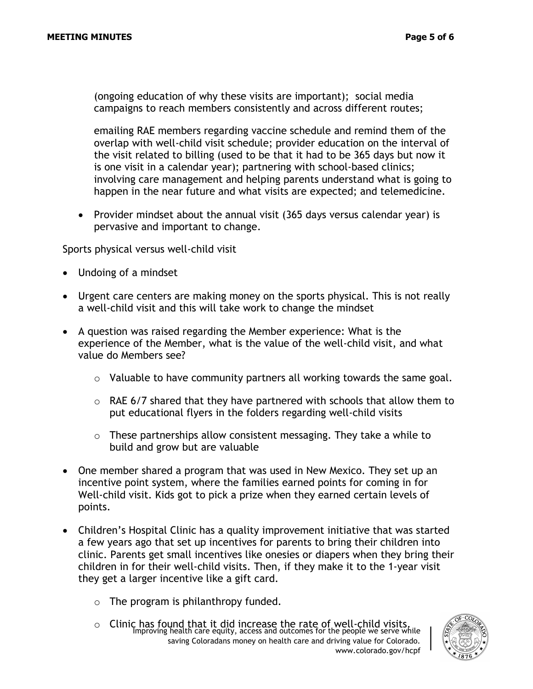(ongoing education of why these visits are important); social media campaigns to reach members consistently and across different routes;

emailing RAE members regarding vaccine schedule and remind them of the overlap with well-child visit schedule; provider education on the interval of the visit related to billing (used to be that it had to be 365 days but now it is one visit in a calendar year); partnering with school-based clinics; involving care management and helping parents understand what is going to happen in the near future and what visits are expected; and telemedicine.

• Provider mindset about the annual visit (365 days versus calendar year) is pervasive and important to change.

Sports physical versus well-child visit

- Undoing of a mindset
- Urgent care centers are making money on the sports physical. This is not really a well-child visit and this will take work to change the mindset
- A question was raised regarding the Member experience: What is the experience of the Member, what is the value of the well-child visit, and what value do Members see?
	- $\circ$  Valuable to have community partners all working towards the same goal.
	- $\circ$  RAE 6/7 shared that they have partnered with schools that allow them to put educational flyers in the folders regarding well-child visits
	- $\circ$  These partnerships allow consistent messaging. They take a while to build and grow but are valuable
- One member shared a program that was used in New Mexico. They set up an incentive point system, where the families earned points for coming in for Well-child visit. Kids got to pick a prize when they earned certain levels of points.
- Children's Hospital Clinic has a quality improvement initiative that was started a few years ago that set up incentives for parents to bring their children into clinic. Parents get small incentives like onesies or diapers when they bring their children in for their well-child visits. Then, if they make it to the 1-year visit they get a larger incentive like a gift card.
	- $\circ$  The program is philanthropy funded.
	- $\circ$  Clinic has found that it did increase the rate of well-child visits.<br>Improving health care equity, access and outcomes for the people we serve while saving Coloradans money on health care and driving value for Colorado. www.colorado.gov/hcpf